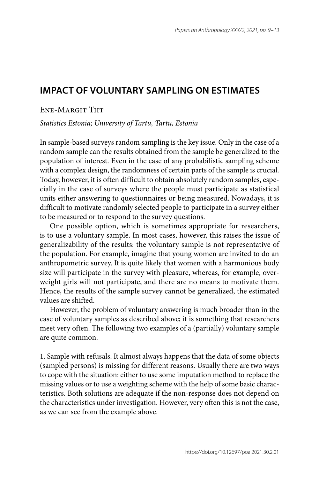## **IMPACT OF VOLUNTARY SAMPLING ON ESTIMATES**

## Ene-Margit Tiit

*Statistics Estonia; University of Tartu, Tartu, Estonia*

In sample-based surveys random sampling is the key issue. Only in the case of a random sample can the results obtained from the sample be generalized to the population of interest. Even in the case of any probabilistic sampling scheme with a complex design, the randomness of certain parts of the sample is crucial. Today, however, it is often difficult to obtain absolutely random samples, especially in the case of surveys where the people must participate as statistical units either answering to questionnaires or being measured. Nowadays, it is difficult to motivate randomly selected people to participate in a survey either to be measured or to respond to the survey questions.

One possible option, which is sometimes appropriate for researchers, is to use a voluntary sample. In most cases, however, this raises the issue of generalizability of the results: the voluntary sample is not representative of the population. For example, imagine that young women are invited to do an anthropometric survey. It is quite likely that women with a harmonious body size will participate in the survey with pleasure, whereas, for example, overweight girls will not participate, and there are no means to motivate them. Hence, the results of the sample survey cannot be generalized, the estimated values are shifted.

However, the problem of voluntary answering is much broader than in the case of voluntary samples as described above; it is something that researchers meet very often. The following two examples of a (partially) voluntary sample are quite common.

1. Sample with refusals. It almost always happens that the data of some objects (sampled persons) is missing for different reasons. Usually there are two ways to cope with the situation: either to use some imputation method to replace the missing values or to use a weighting scheme with the help of some basic characteristics. Both solutions are adequate if the non-response does not depend on the characteristics under investigation. However, very often this is not the case, as we can see from the example above.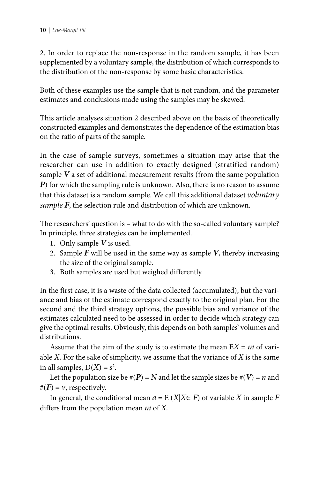2. In order to replace the non-response in the random sample, it has been supplemented by a voluntary sample, the distribution of which corresponds to the distribution of the non-response by some basic characteristics.

Both of these examples use the sample that is not random, and the parameter estimates and conclusions made using the samples may be skewed.

This article analyses situation 2 described above on the basis of theoretically constructed examples and demonstrates the dependence of the estimation bias on the ratio of parts of the sample.

In the case of sample surveys, sometimes a situation may arise that the researcher can use in addition to exactly designed (stratified random) sample *V* a set of additional measurement results (from the same population *P*) for which the sampling rule is unknown. Also, there is no reason to assume that this dataset is a random sample. We call this additional dataset *voluntary sample F*, the selection rule and distribution of which are unknown.

The researchers' question is – what to do with the so-called voluntary sample? In principle, three strategies can be implemented.

- 1. Only sample *V* is used.
- 2. Sample *F* will be used in the same way as sample *V*, thereby increasing the size of the original sample.
- 3. Both samples are used but weighed differently.

In the first case, it is a waste of the data collected (accumulated), but the variance and bias of the estimate correspond exactly to the original plan. For the second and the third strategy options, the possible bias and variance of the estimates calculated need to be assessed in order to decide which strategy can give the optimal results. Obviously, this depends on both samples' volumes and distributions.

Assume that the aim of the study is to estimate the mean  $EX = m$  of variable *X.* For the sake of simplicity, we assume that the variance of *X* is the same in all samples,  $D(X) = s^2$ .

Let the population size be  $\#(P) = N$  and let the sample sizes be  $\#(V) = n$  and  $#(F) = v$ , respectively.

In general, the conditional mean  $a = E(X|X \in F)$  of variable X in sample F differs from the population mean *m* of *X.*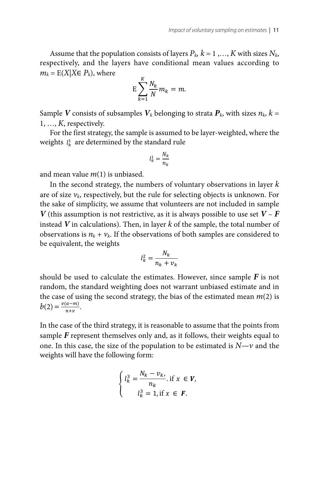Assume that the population consists of layers  $P_k$ ,  $k = 1, ..., K$  with sizes  $N_k$ , respectively, and the layers have conditional mean values according to  $m_k = E(X|X \in P_k)$ , where

$$
E\sum_{k=1}^K \frac{N_k}{N} m_k = m.
$$

Sample V consists of subsamples  $V_k$  belonging to strata  $P_k$ , with sizes  $n_k$ ,  $k =$  $1, \ldots, K$ , respectively.

For the first strategy, the sample is assumed to be layer-weighted, where the weights  $l_k^1$  are determined by the standard rule

$$
l_k^1 = \frac{N_k}{n_k}
$$

and mean value  $m(1)$  is unbiased.

In the second strategy, the numbers of voluntary observations in layer  $k$ are of size  $v_k$ , respectively, but the rule for selecting objects is unknown. For the sake of simplicity, we assume that volunteers are not included in sample V (this assumption is not restrictive, as it is always possible to use set  $V - F$ instead  $V$  in calculations). Then, in layer  $k$  of the sample, the total number of observations is  $n_k + \nu_k$ . If the observations of both samples are considered to be equivalent, the weights

$$
l_k^2 = \frac{N_k}{n_k + v_k}
$$

should be used to calculate the estimates. However, since sample  $F$  is not random, the standard weighting does not warrant unbiased estimate and in the case of using the second strategy, the bias of the estimated mean  $m(2)$  is  $b(2) = \frac{v(a-m)}{n+v}$ .

In the case of the third strategy, it is reasonable to assume that the points from sample  $F$  represent themselves only and, as it follows, their weights equal to one. In this case, the size of the population to be estimated is  $N-v$  and the weights will have the following form:

$$
\begin{cases}\n l_k^3 = \frac{N_k - v_{k'}}{n_k}, & \text{if } x \in V, \\
l_k^3 = 1, & \text{if } x \in F.\n\end{cases}
$$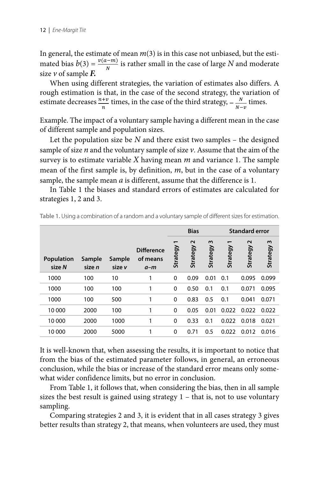In general, the estimate of mean  $m(3)$  is in this case not unbiased, but the estimated bias  $b(3) = \frac{v(a-m)}{N}$  $\frac{f(x+h)}{N}$  is rather small in the case of large *N* and moderate size  $\nu$  of sample  $\vec{F}$ .

When using different strategies, the variation of estimates also differs. A rough estimation is that, in the case of the second strategy, the variation of estimate decreases  $\frac{n+v}{r}$  times, in the case of the strategy,  $-\frac{N}{N-r}$  times.  $\overline{u}$  $-\frac{N}{N-\nu}$  times.

Example. The impact of a voluntary sample having a different mean in the case of different sample and population sizes.

Let the population size be *N* and there exist two samples – the designed sample of size *n* and the voluntary sample of size *v*. Assume that the aim of the survey is to estimate variable *X* having mean *m* and variance 1. The sample mean of the first sample is, by definition, *m*, but in the case of a voluntary sample, the sample mean *a* is different, assume that the difference is 1.

In Table 1 the biases and standard errors of estimates are calculated for strategies 1, 2 and 3.

|                             |                  |                  |                                      | <b>Bias</b> |                               |               | <b>Standard error</b> |                    |                      |
|-----------------------------|------------------|------------------|--------------------------------------|-------------|-------------------------------|---------------|-----------------------|--------------------|----------------------|
| <b>Population</b><br>size N | Sample<br>size n | Sample<br>size v | <b>Difference</b><br>of means<br>a-m | Strategy    | $\mathbf{\Omega}$<br>Strategy | w<br>Strategy | Strategy              | $\sim$<br>Strategy | w<br><b>Strategy</b> |
| 1000                        | 100              | 10               | 1                                    | 0           | 0.09                          | 0.01          | 0.1                   | 0.095              | 0.099                |
| 1000                        | 100              | 100              | 1                                    | 0           | 0.50                          | 0.1           | 0.1                   | 0.071              | 0.095                |
| 1000                        | 100              | 500              | 1                                    | 0           | 0.83                          | 0.5           | 0.1                   | 0.041              | 0.071                |
| 10 000                      | 2000             | 100              | 1                                    | $\mathbf 0$ | 0.05                          | 0.01          | 0.022                 | 0.022              | 0.022                |
| 10 000                      | 2000             | 1000             | 1                                    | 0           | 0.33                          | 0.1           | 0.022                 | 0.018              | 0.021                |
| 10 000                      | 2000             | 5000             | 1                                    | 0           | 0.71                          | 0.5           | 0.022                 | 0.012              | 0.016                |

**Table 1.** Using a combination of a random and a voluntary sample of different sizes for estimation.

It is well-known that, when assessing the results, it is important to notice that from the bias of the estimated parameter follows, in general, an erroneous conclusion, while the bias or increase of the standard error means only somewhat wider confidence limits, but no error in conclusion.

From Table 1, it follows that, when considering the bias, then in all sample sizes the best result is gained using strategy 1 – that is, not to use voluntary sampling.

Comparing strategies 2 and 3, it is evident that in all cases strategy 3 gives better results than strategy 2, that means, when volunteers are used, they must